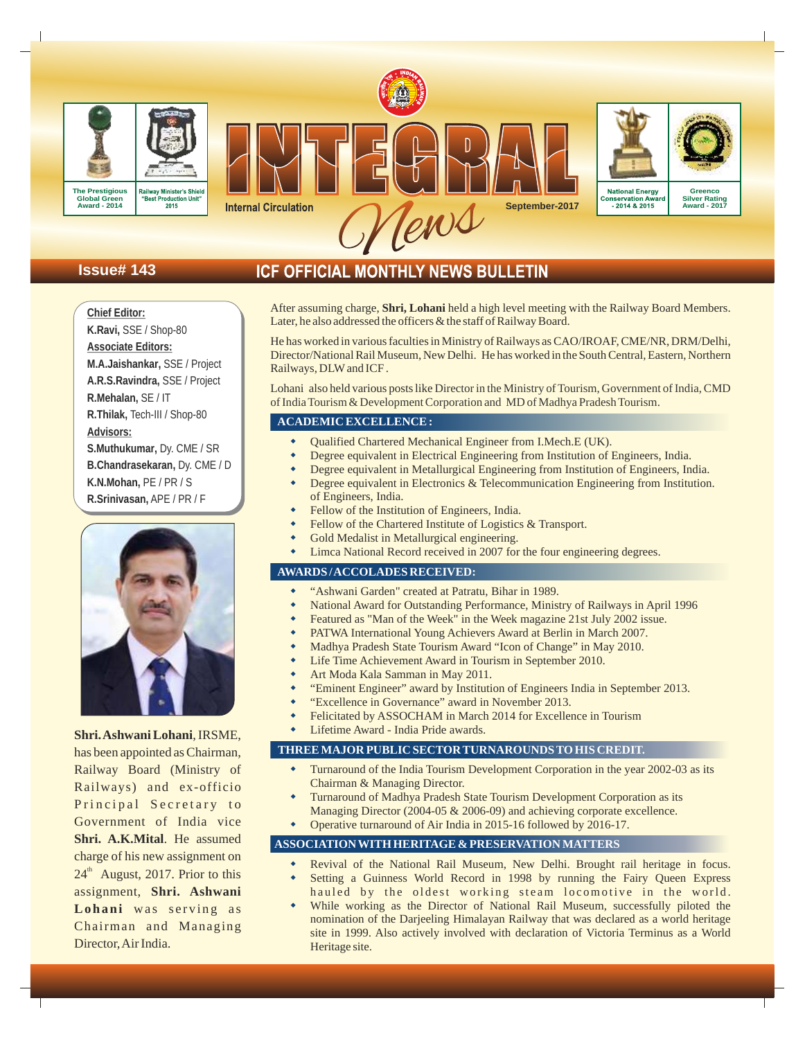



**Issue# 143**

**Chief Editor:** 

**K.Ravi,** SSE / Shop-80 **Associate Editors:**

**R.Mehalan,** SE / IT

**Advisors:** 

**M.A.Jaishankar,** SSE / Project **A.R.S.Ravindra,** SSE / Project

**R.Thilak,** Tech-III / Shop-80

**S.Muthukumar,** Dy. CME / SR **B.Chandrasekaran,** Dy. CME / D

**K.N.Mohan,** PE / PR / S **R.Srinivasan,** APE / PR / F

**Internal Circulation** 

# ICF OFFICIAL MONTHLY NEWS BULLETIN

After assuming charge, **Shri, Lohani** held a high level meeting with the Railway Board Members. Later, he also addressed the officers & the staff of Railway Board.

**September-2017**

**Greenco Silver Rating Award - 2017**

**National Energy** 

onservation Aw<br>2014 & 2015 -

He has worked in various faculties in Ministry of Railways as CAO/IROAF, CME/NR, DRM/Delhi, Director/National Rail Museum, New Delhi. He has worked in the South Central, Eastern, Northern Railways, DLWand ICF .

Lohani also held various posts like Director in the Ministry of Tourism, Government of India, CMD . of India Tourism & Development Corporation and MD of Madhya Pradesh Tourism

# **ACADEMIC EXCELLENCE :**

- Qualified Chartered Mechanical Engineer from I.Mech.E (UK). w
- Degree equivalent in Electrical Engineering from Institution of Engineers, India. w
- Degree equivalent in Metallurgical Engineering from Institution of Engineers, India. w
- Degree equivalent in Electronics & Telecommunication Engineering from Institution. of Engineers, India. w
- Fellow of the Institution of Engineers, India. w
- Fellow of the Chartered Institute of Logistics & Transport. w
- Gold Medalist in Metallurgical engineering. w
- Limca National Record received in 2007 for the four engineering degrees. w

## **AWARDS / ACCOLADES RECEIVED:**

- "Ashwani Garden" created at Patratu, Bihar in 1989. w
- National Award for Outstanding Performance, Ministry of Railways in April 1996 w
- Featured as "Man of the Week" in the Week magazine 21st July 2002 issue. w
- PATWA International Young Achievers Award at Berlin in March 2007. w
- Madhya Pradesh State Tourism Award "Icon of Change" in May 2010. w
- Life Time Achievement Award in Tourism in September 2010. w
- Art Moda Kala Samman in May 2011. w
- "Eminent Engineer" award by Institution of Engineers India in September 2013. w
- "Excellence in Governance" award in November 2013. w
- Felicitated by ASSOCHAM in March 2014 for Excellence in Tourism w
- Lifetime Award India Pride awards. w

# **THREE MAJOR PUBLIC SECTOR TURNAROUNDS TO HIS CREDIT.**

- Turnaround of the India Tourism Development Corporation in the year 2002-03 as its Chairman & Managing Director. w
- Turnaround of Madhya Pradesh State Tourism Development Corporation as its Managing Director (2004-05 & 2006-09) and achieving corporate excellence. w
- Operative turnaround of Air India in 2015-16 followed by 2016-17. w

#### **ASSOCIATION WITH HERITAGE & PRESERVATION MATTERS**

- Revival of the National Rail Museum, New Delhi. Brought rail heritage in focus. w
- Setting a Guinness World Record in 1998 by running the Fairy Queen Express hauled by the oldest working steam locomotive in the world. w
- While working as the Director of National Rail Museum, successfully piloted the nomination of the Darjeeling Himalayan Railway that was declared as a world heritage site in 1999. Also actively involved with declaration of Victoria Terminus as a World Heritage site. w

**Shri. Ashwani Lohani**, IRSME, has been appointed as Chairman, Railway Board (Ministry of Railways) and ex-officio Principal Secretary to Government of India vice **Shri. A.K.Mital**. He assumed charge of his new assignment on  $24<sup>th</sup>$  August, 2017. Prior to this assignment, **Shri. Ashwani** Lohani was serving as Chairman and Managing Director, Air India.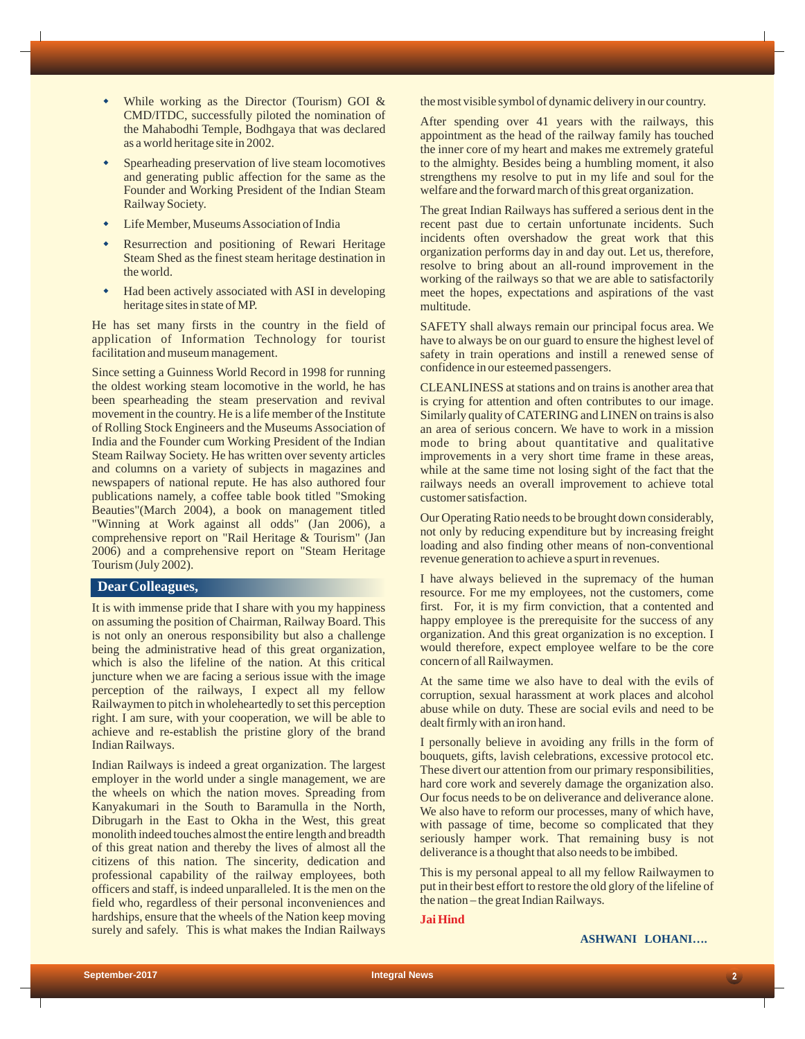- While working as the Director (Tourism) GOI  $&$ CMD/ITDC, successfully piloted the nomination of the Mahabodhi Temple, Bodhgaya that was declared as a world heritage site in 2002.
- Spearheading preservation of live steam locomotives and generating public affection for the same as the Founder and Working President of the Indian Steam Railway Society.  $\bullet$
- Life Member, Museums Association of India  $\bullet$
- Resurrection and positioning of Rewari Heritage Steam Shed as the finest steam heritage destination in the world.  $\bullet$
- Had been actively associated with ASI in developing heritage sites in state of MP.  $\bullet$

He has set many firsts in the country in the field of application of Information Technology for tourist facilitation and museum management.

Since setting a Guinness World Record in 1998 for running the oldest working steam locomotive in the world, he has been spearheading the steam preservation and revival movement in the country. He is a life member of the Institute of Rolling Stock Engineers and the Museums Association of India and the Founder cum Working President of the Indian Steam Railway Society. He has written over seventy articles and columns on a variety of subjects in magazines and newspapers of national repute. He has also authored four publications namely, a coffee table book titled "Smoking Beauties"(March 2004), a book on management titled "Winning at Work against all odds" (Jan 2006), a comprehensive report on "Rail Heritage & Tourism" (Jan 2006) and a comprehensive report on "Steam Heritage Tourism (July 2002).

# **DearColleagues,**

It is with immense pride that I share with you my happiness on assuming the position of Chairman, Railway Board. This is not only an onerous responsibility but also a challenge being the administrative head of this great organization, which is also the lifeline of the nation. At this critical juncture when we are facing a serious issue with the image perception of the railways, I expect all my fellow Railwaymen to pitch in wholeheartedly to set this perception right. I am sure, with your cooperation, we will be able to achieve and re-establish the pristine glory of the brand Indian Railways.

Indian Railways is indeed a great organization. The largest employer in the world under a single management, we are the wheels on which the nation moves. Spreading from Kanyakumari in the South to Baramulla in the North, Dibrugarh in the East to Okha in the West, this great monolith indeed touches almost the entire length and breadth of this great nation and thereby the lives of almost all the citizens of this nation. The sincerity, dedication and professional capability of the railway employees, both officers and staff, is indeed unparalleled. It is the men on the field who, regardless of their personal inconveniences and hardships, ensure that the wheels of the Nation keep moving surely and safely. This is what makes the Indian Railways

the most visible symbol of dynamic delivery in our country.

After spending over 41 years with the railways, this appointment as the head of the railway family has touched the inner core of my heart and makes me extremely grateful to the almighty. Besides being a humbling moment, it also strengthens my resolve to put in my life and soul for the welfare and the forward march of this great organization.

The great Indian Railways has suffered a serious dent in the recent past due to certain unfortunate incidents. Such incidents often overshadow the great work that this organization performs day in and day out. Let us, therefore, resolve to bring about an all-round improvement in the working of the railways so that we are able to satisfactorily meet the hopes, expectations and aspirations of the vast multitude.

SAFETY shall always remain our principal focus area. We have to always be on our guard to ensure the highest level of safety in train operations and instill a renewed sense of confidence in our esteemed passengers.

CLEANLINESS at stations and on trains is another area that is crying for attention and often contributes to our image. Similarly quality of CATERING and LINEN on trains is also an area of serious concern. We have to work in a mission mode to bring about quantitative and qualitative improvements in a very short time frame in these areas, while at the same time not losing sight of the fact that the railways needs an overall improvement to achieve total customer satisfaction.

Our Operating Ratio needs to be brought down considerably, not only by reducing expenditure but by increasing freight loading and also finding other means of non-conventional revenue generation to achieve a spurt in revenues.

I have always believed in the supremacy of the human resource. For me my employees, not the customers, come first. For, it is my firm conviction, that a contented and happy employee is the prerequisite for the success of any organization. And this great organization is no exception. I would therefore, expect employee welfare to be the core concern of all Railwaymen.

At the same time we also have to deal with the evils of corruption, sexual harassment at work places and alcohol abuse while on duty. These are social evils and need to be dealt firmly with an iron hand.

I personally believe in avoiding any frills in the form of bouquets, gifts, lavish celebrations, excessive protocol etc. These divert our attention from our primary responsibilities, hard core work and severely damage the organization also. Our focus needs to be on deliverance and deliverance alone. We also have to reform our processes, many of which have, with passage of time, become so complicated that they seriously hamper work. That remaining busy is not deliverance is a thought that also needs to be imbibed.

This is my personal appeal to all my fellow Railwaymen to put in their best effort to restore the old glory of the lifeline of the nation – the great Indian Railways.

**Jai Hind**

## **ASHWANI LOHANI….**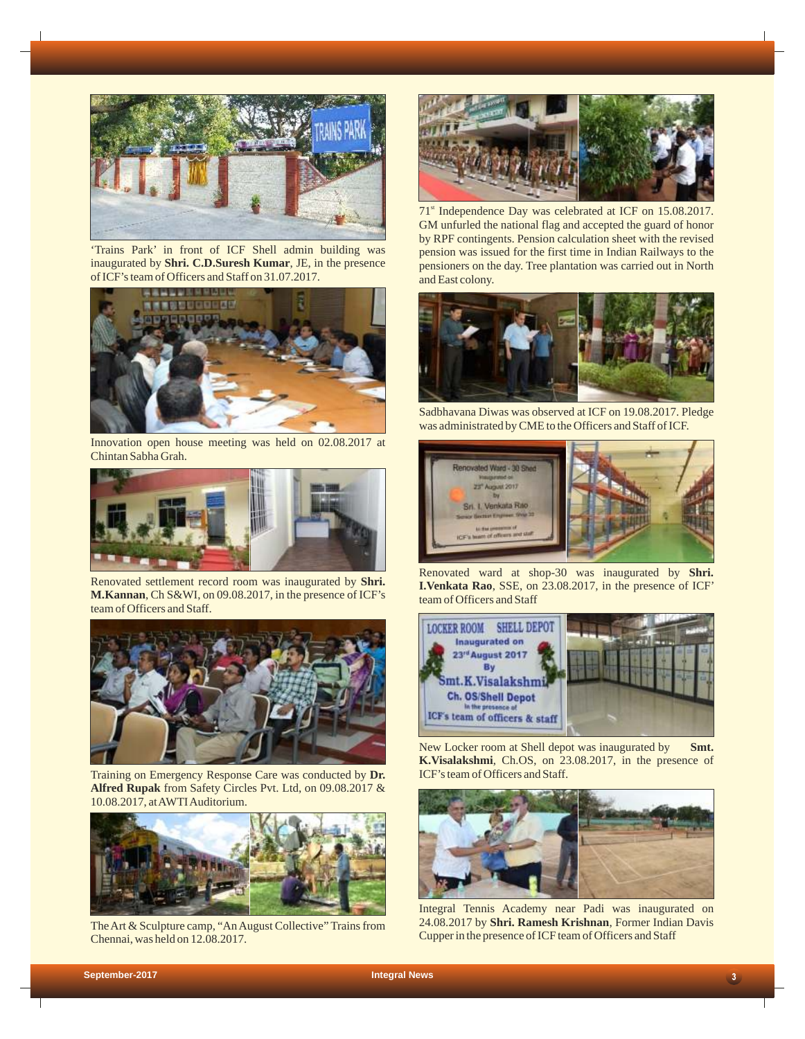

'Trains Park' in front of ICF Shell admin building was inaugurated by **Shri. C.D.Suresh Kumar**, JE, in the presence of ICF's team of Officers and Staff on 31.07.2017.



Innovation open house meeting was held on 02.08.2017 at Chintan Sabha Grah.



Renovated settlement record room was inaugurated by **Shri. M.Kannan**, Ch S&WI, on 09.08.2017, in the presence of ICF's team of Officers and Staff.



Training on Emergency Response Care was conducted by **Dr. Alfred Rupak** from Safety Circles Pvt. Ltd, on 09.08.2017 & 10.08.2017, at AWTI Auditorium.



The Art & Sculpture camp, "An August Collective" Trains from Chennai, was held on 12.08.2017.

![](_page_2_Picture_10.jpeg)

71<sup>st</sup> Independence Day was celebrated at ICF on 15.08.2017. GM unfurled the national flag and accepted the guard of honor by RPF contingents. Pension calculation sheet with the revised pension was issued for the first time in Indian Railways to the pensioners on the day. Tree plantation was carried out in North and East colony.

![](_page_2_Picture_12.jpeg)

Sadbhavana Diwas was observed at ICF on 19.08.2017. Pledge was administrated by CME to the Officers and Staff of ICF.

![](_page_2_Picture_14.jpeg)

Renovated ward at shop-30 was inaugurated by **Shri. I.Venkata Rao**, SSE, on 23.08.2017, in the presence of ICF' team of Officers and Staff

![](_page_2_Picture_16.jpeg)

New Locker room at Shell depot was inaugurated by **Smt. K.Visalakshmi**, Ch.OS, on 23.08.2017, in the presence of ICF's team of Officers and Staff.

![](_page_2_Picture_18.jpeg)

Integral Tennis Academy near Padi was inaugurated on 24.08.2017 by **Shri. Ramesh Krishnan**, Former Indian Davis Cupper in the presence of ICF team of Officers and Staff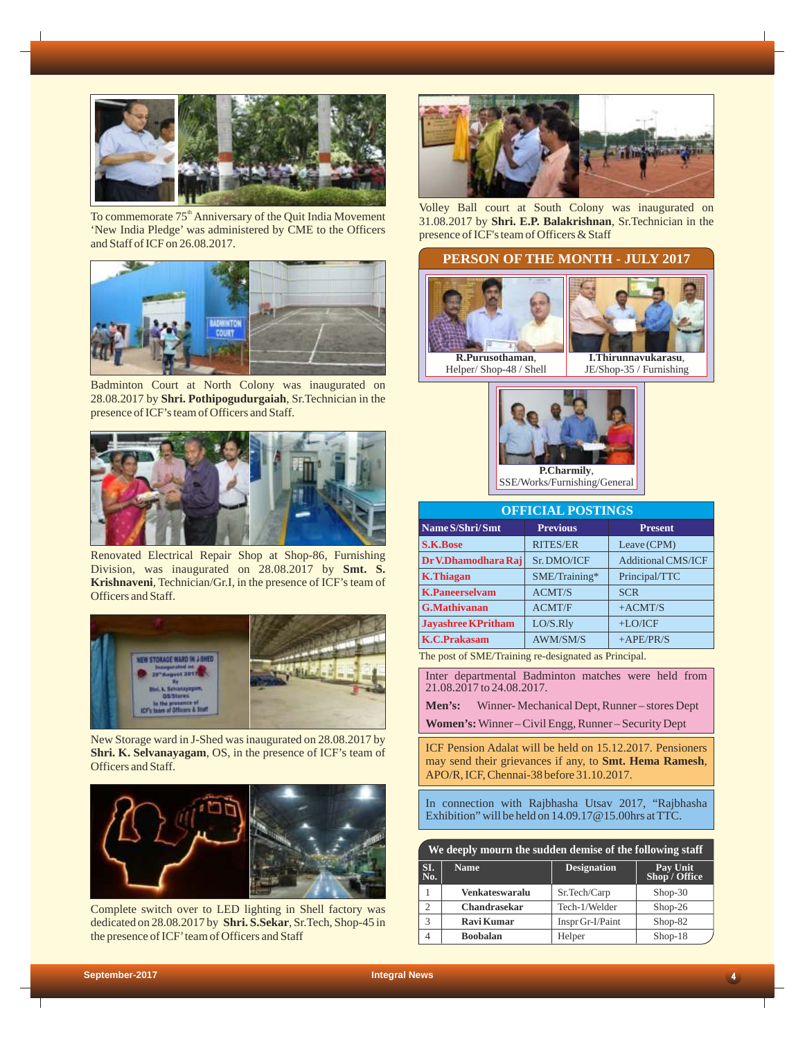![](_page_3_Picture_0.jpeg)

To commemorate 75<sup>th</sup> Anniversary of the Quit India Movement 'New India Pledge' was administered by CME to the Officers and Staff of ICF on 26.08.2017.

![](_page_3_Picture_2.jpeg)

Badminton Court at North Colony was inaugurated on 28.08.2017 by **Shri. Pothipogudurgaiah**, Sr.Technician in the presence of ICF's team of Officers and Staff.

![](_page_3_Picture_4.jpeg)

Renovated Electrical Repair Shop at Shop-86, Furnishing Division, was inaugurated on 28.08.2017 by **Smt. S. Krishnaveni**, Technician/Gr.I, in the presence of ICF's team of Officers and Staff.

![](_page_3_Picture_6.jpeg)

New Storage ward in J-Shed was inaugurated on 28.08.2017 by **Shri. K. Selvanayagam**, OS, in the presence of ICF's team of Officers and Staff.

![](_page_3_Picture_8.jpeg)

Complete switch over to LED lighting in Shell factory was dedicated on 28.08.2017 by **Shri. S.Sekar**, Sr.Tech, Shop-45 in the presence of ICF' team of Officers and Staff

![](_page_3_Picture_10.jpeg)

Volley Ball court at South Colony was inaugurated on 31.08.2017 by **Shri. E.P. Balakrishnan**, Sr.Technician in the presence of ICF's team of Officers & Staff

# **PERSON OF THE MONTH - JULY 2017**

![](_page_3_Picture_13.jpeg)

![](_page_3_Picture_14.jpeg)

JE/Shop-35 / Furnishing

![](_page_3_Picture_16.jpeg)

| <b>OFFICIAL POSTINGS</b>  |                 |                           |  |
|---------------------------|-----------------|---------------------------|--|
| Name S/Shri/Smt           | <b>Previous</b> | <b>Present</b>            |  |
| <b>S.K.Bose</b>           | <b>RITES/ER</b> | Leave (CPM)               |  |
| Dr V.Dhamodhara Raj       | Sr. DMO/ICF     | <b>Additional CMS/ICF</b> |  |
| <b>K.Thiagan</b>          | SME/Training*   | Principal/TTC             |  |
| <b>K.Paneerselvam</b>     | <b>ACMT/S</b>   | <b>SCR</b>                |  |
| <b>G.Mathivanan</b>       | <b>ACMT/F</b>   | $+ACMT/S$                 |  |
| <b>Javashree KPritham</b> | LO/S.Rly        | $+LO/ICF$                 |  |
| <b>K.C.Prakasam</b>       | <b>AWM/SM/S</b> | $+$ APE/PR/S              |  |
| .                         |                 |                           |  |

The post of SME/Training re-designated as Principal.

Inter departmental Badminton matches were held from 21.08.2017 to 24.08.2017.

**Men's:** Winner- Mechanical Dept, Runner – stores Dept **Women's:** Winner – Civil Engg, Runner – Security Dept

ICF Pension Adalat will be held on 15.12.2017. Pensioners may send their grievances if any, to **Smt. Hema Ramesh**, APO/R, ICF, Chennai-38 before 31.10.2017.

In connection with Rajbhasha Utsav 2017, "Rajbhasha Exhibition" will be held on 14.09.17@15.00hrs at TTC.

| We deeply mourn the sudden demise of the following staff |                       |                    |                           |
|----------------------------------------------------------|-----------------------|--------------------|---------------------------|
| SI.<br>No.                                               | <b>Name</b>           | <b>Designation</b> | Pay Unit<br>Shop / Office |
|                                                          | <b>Venkateswaralu</b> | Sr.Tech/Carp       | $Shop-30$                 |
| $\overline{c}$                                           | <b>Chandrasekar</b>   | Tech-1/Welder      | $Shop-26$                 |
| 3                                                        | <b>Ravi Kumar</b>     | Inspr Gr-I/Paint   | Shop-82                   |
| 4                                                        | <b>Boobalan</b>       | Helper             | $Shop-18$                 |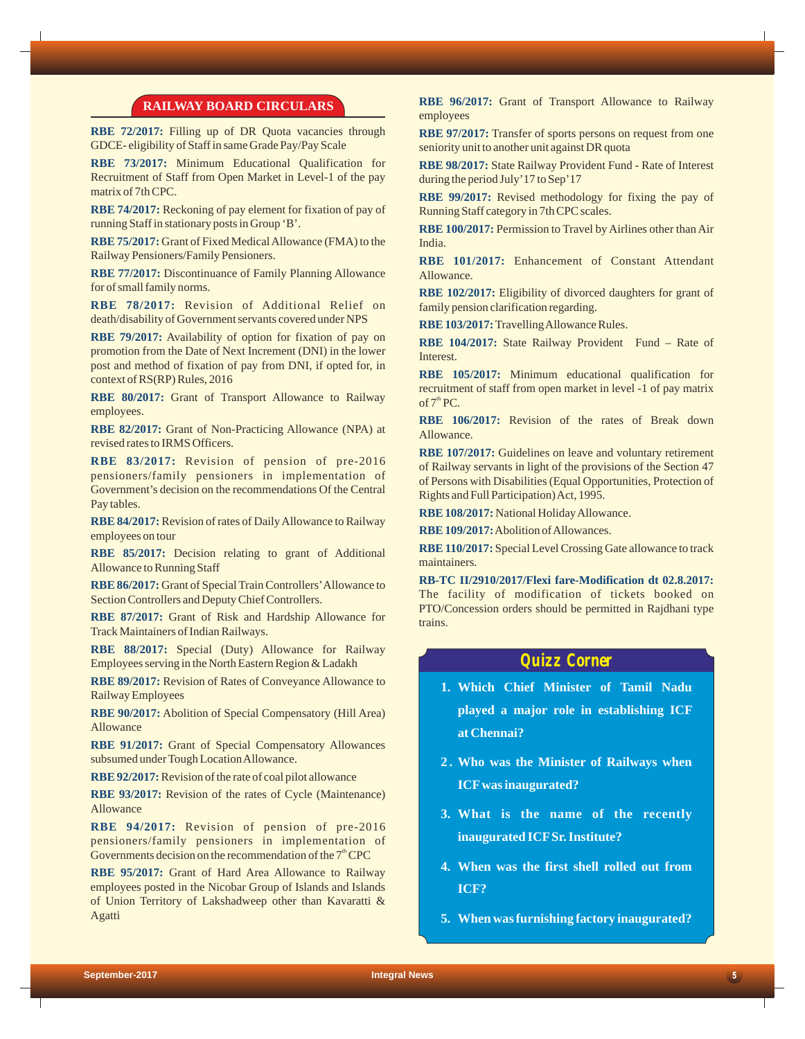### **RAILWAY BOARD CIRCULARS**

**RBE 72/2017:**  Filling up of DR Quota vacancies through GDCE- eligibility of Staff in same Grade Pay/Pay Scale

**RBE 73/2017:** Minimum Educational Qualification for Recruitment of Staff from Open Market in Level-1 of the pay matrix of 7th CPC.

**RBE 74/2017:** Reckoning of pay element for fixation of pay of running Staff in stationary posts in Group 'B'.

**RBE 75/2017:** Grant of Fixed Medical Allowance (FMA) to the Railway Pensioners/Family Pensioners.

**RBE 77/2017:** Discontinuance of Family Planning Allowance for of small family norms.

**RBE 78/2017:** Revision of Additional Relief on death/disability of Government servants covered under NPS

**RBE 79/2017:** Availability of option for fixation of pay on promotion from the Date of Next Increment (DNI) in the lower post and method of fixation of pay from DNI, if opted for, in context of RS(RP) Rules, 2016

**RBE 80/2017:**  Grant of Transport Allowance to Railway employees.

**RBE 82/2017:** Grant of Non-Practicing Allowance (NPA) at revised rates to IRMS Officers.

**RBE 83/2017:** Revision of pension of pre-2016 pensioners/family pensioners in implementation of Government's decision on the recommendations Of the Central Pay tables.

**RBE 84/2017:** Revision of rates of Daily Allowance to Railway employees on tour

**RBE 85/2017:**  Decision relating to grant of Additional Allowance to Running Staff

RBE 86/2017: Grant of Special Train Controllers' Allowance to Section Controllers and Deputy Chief Controllers.

**RBE 87/2017:** Grant of Risk and Hardship Allowance for Track Maintainers of Indian Railways.

**RBE 88/2017:** Special (Duty) Allowance for Railway Employees serving in the North Eastern Region & Ladakh

RBE 89/2017: Revision of Rates of Conveyance Allowance to Railway Employees

**RBE 90/2017:** Abolition of Special Compensatory (Hill Area) Allowance

**RBE 91/2017:** Grant of Special Compensatory Allowances subsumed under Tough Location Allowance.

**RBE 92/2017:** Revision of the rate of coal pilot allowance

RBE 93/2017: Revision of the rates of Cycle (Maintenance) Allowance

**RBE 94/2017:** Revision of pension of pre-2016 pensioners/family pensioners in implementation of Governments decision on the recommendation of the  $7<sup>th</sup>$  CPC

**RBE 95/2017:**  Grant of Hard Area Allowance to Railway employees posted in the Nicobar Group of Islands and Islands of Union Territory of Lakshadweep other than Kavaratti & Agatti

**RBE 96/2017:**  Grant of Transport Allowance to Railway employees

**RBE 97/2017:** Transfer of sports persons on request from one seniority unit to another unit against DR quota

**RBE 98/2017:** State Railway Provident Fund - Rate of Interest during the period July'17 to Sep'17

**RBE 99/2017:** Revised methodology for fixing the pay of Running Staff category in 7th CPC scales.

**RBE 100/2017:** Permission to Travel by Airlines other than Air India.

**RBE 101/2017:** Enhancement of Constant Attendant Allowance.

**RBE 102/2017:** Eligibility of divorced daughters for grant of family pension clarification regarding.

**RBE 103/2017:** Travelling Allowance Rules.

**RBE 104/2017:** State Railway Provident Fund – Rate of Interest.

**RBE 105/2017:**  Minimum educational qualification for recruitment of staff from open market in level -1 of pay matrix of  $7<sup>th</sup> PC$ .

**RBE 106/2017:** Revision of the rates of Break down Allowance.

**RBE 107/2017:** Guidelines on leave and voluntary retirement of Railway servants in light of the provisions of the Section 47 of Persons with Disabilities (Equal Opportunities,Protection of Rights and Full Participation) Act, 1995.

**RBE 108/2017:** National Holiday Allowance.

**RBE 109/2017:** Abolition of Allowances.

**RBE 110/2017:** Special Level Crossing Gate allowance to track maintainers.

**RB-TC II/2910/2017/Flexi fare-Modification dt 02.8.2017:** The facility of modification of tickets booked on PTO/Concession orders should be permitted in Rajdhani type trains.

# *Quizz Corner*

- **1. Which Chief Minister of Tamil Nadu played a major role in establishing ICF at Chennai?**
- **2 . Who was the Minister of Railways when ICFwas inaugurated?**
- **3. What is the name of the recently inaugurated ICFSr. Institute?**
- **4. When was the first shell rolled out from ICF?**
- **5. When was furnishing factory inaugurated?**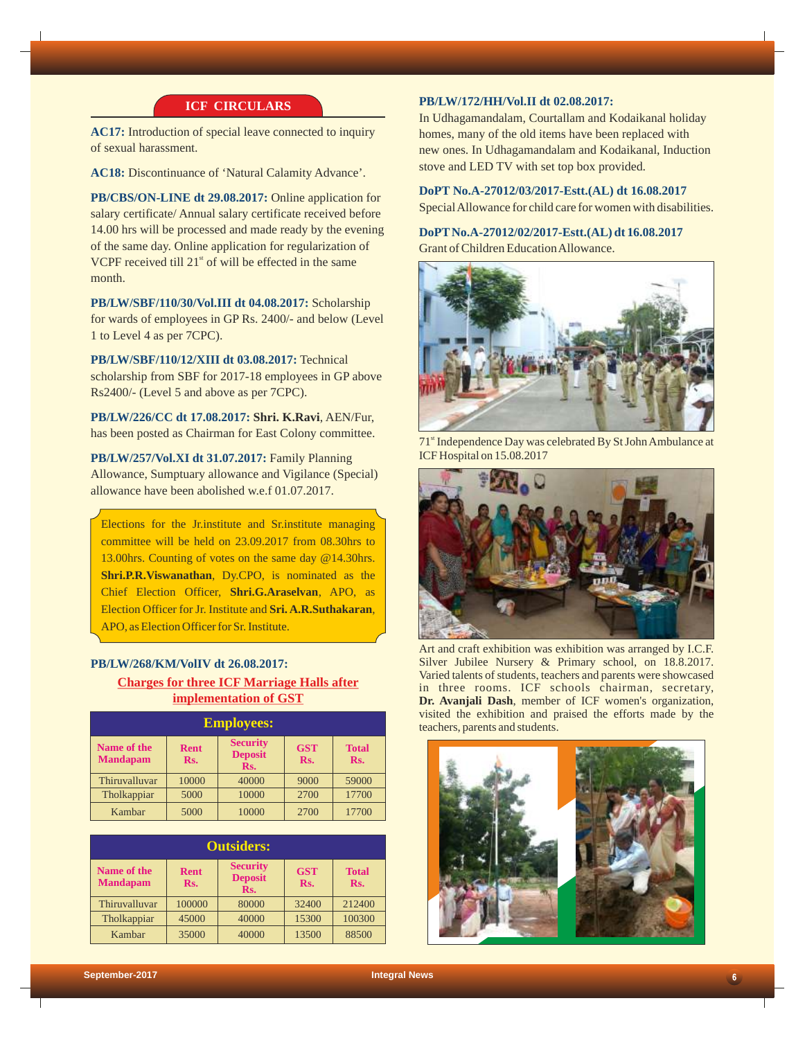# **ICF CIRCULARS**

**AC17:** Introduction of special leave connected to inquiry of sexual harassment.

**AC18:** Discontinuance of 'Natural Calamity Advance'.

**PB/CBS/ON-LINE dt 29.08.2017:** Online application for salary certificate/ Annual salary certificate received before 14.00 hrs will be processed and made ready by the evening of the same day. Online application for regularization of VCPF received till  $21<sup>st</sup>$  of will be effected in the same month.

**PB/LW/SBF/110/30/Vol.III dt 04.08.2017:** Scholarship for wards of employees in GP Rs. 2400/- and below (Level 1 to Level 4 as per 7CPC).

**PB/LW/SBF/110/12/XIII dt 03.08.2017:** Technical scholarship from SBF for 2017-18 employees in GP above Rs2400/- (Level 5 and above as per 7CPC).

**PB/LW/226/CC dt 17.08.2017: Shri. K.Ravi**, AEN/Fur, has been posted as Chairman for East Colony committee.

**PB/LW/257/Vol.XI dt 31.07.2017:** Family Planning Allowance, Sumptuary allowance and Vigilance (Special) allowance have been abolished w.e.f 01.07.2017.

Elections for the Jr.institute and Sr.institute managing committee will be held on 23.09.2017 from 08.30hrs to 13.00hrs. Counting of votes on the same day @14.30hrs. **Shri.P.R.Viswanathan**, Dy.CPO, is nominated as the Chief Election Officer, **Shri.G.Araselvan**, APO, as Election Officer for Jr. Institute and **Sri. A.R.Suthakaran**, APO, as Election Officer for Sr. Institute.

# **PB/LW/268/KM/VolIV dt 26.08.2017: Charges for three ICF Marriage Halls after implementation of GST**

| <b>Employees:</b>                     |                    |                                          |                   |                     |
|---------------------------------------|--------------------|------------------------------------------|-------------------|---------------------|
| <b>Name of the</b><br><b>Mandapam</b> | <b>Rent</b><br>Rs. | <b>Security</b><br><b>Deposit</b><br>Rs. | <b>GST</b><br>Rs. | <b>Total</b><br>Rs. |
| Thiruvalluvar                         | 10000              | 40000                                    | 9000              | 59000               |
| Tholkappiar                           | 5000               | 10000                                    | 2700              | 17700               |
| Kambar                                | 5000               | 10000                                    | 2700              | 17700               |

| <b>Outsiders:</b>              |                    |                                          |                   |                     |
|--------------------------------|--------------------|------------------------------------------|-------------------|---------------------|
| Name of the<br><b>Mandapam</b> | <b>Rent</b><br>Rs. | <b>Security</b><br><b>Deposit</b><br>Rs. | <b>GST</b><br>Rs. | <b>Total</b><br>Rs. |
| Thiruvalluvar                  | 100000             | 80000                                    | 32400             | 212400              |
| Tholkappiar                    | 45000              | 40000                                    | 15300             | 100300              |
| Kambar                         | 35000              | 40000                                    | 13500             | 88500               |

# **PB/LW/172/HH/Vol.II dt 02.08.2017:**

In Udhagamandalam, Courtallam and Kodaikanal holiday homes, many of the old items have been replaced with new ones. In Udhagamandalam and Kodaikanal, Induction stove and LED TV with set top box provided.

**DoPT No.A-27012/03/2017-Estt.(AL) dt 16.08.2017** Special Allowance for child care for women with disabilities.

**DoPTNo.A-27012/02/2017-Estt.(AL) dt 16.08.2017** Grant of Children Education Allowance.

![](_page_5_Picture_16.jpeg)

71<sup>st</sup> Independence Day was celebrated By St John Ambulance at ICF Hospital on 15.08.2017

![](_page_5_Picture_18.jpeg)

Art and craft exhibition was exhibition was arranged by I.C.F. Silver Jubilee Nursery & Primary school, on 18.8.2017. Varied talents of students, teachers and parents were showcased in three rooms. ICF schools chairman, secretary, **Dr. Avanjali Dash**, member of ICF women's organization, visited the exhibition and praised the efforts made by the teachers, parents and students.

![](_page_5_Picture_20.jpeg)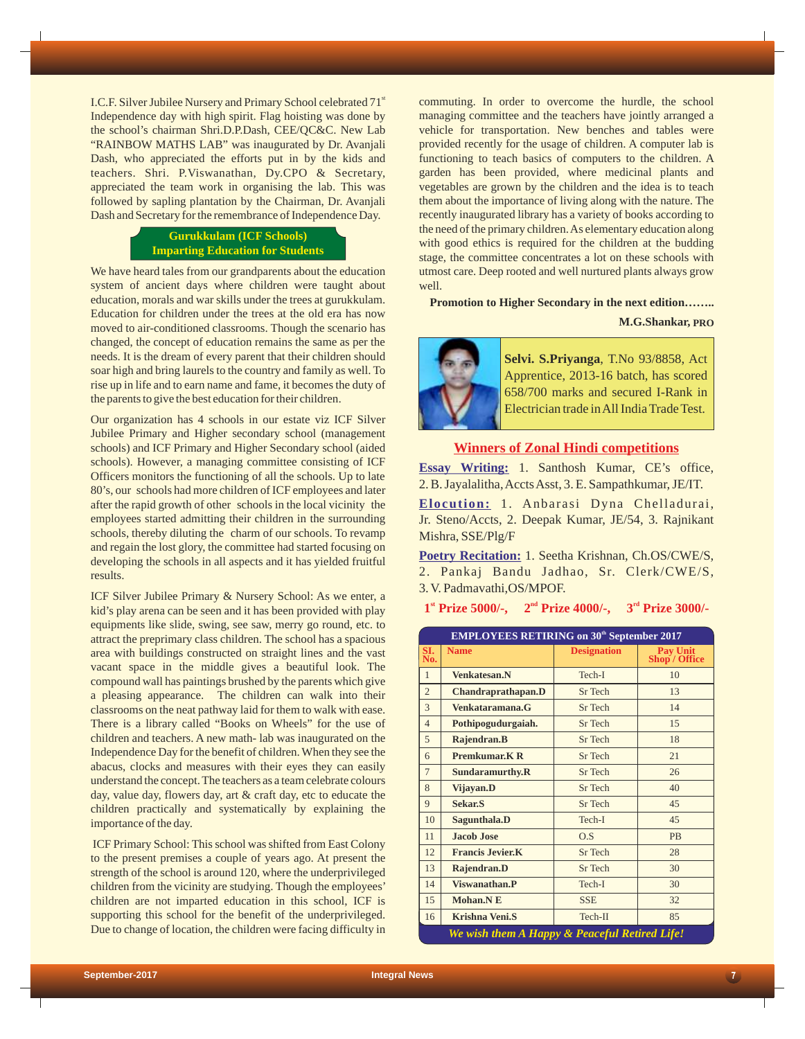I.C.F. Silver Jubilee Nursery and Primary School celebrated 71<sup>st</sup> Independence day with high spirit. Flag hoisting was done by the school's chairman Shri.D.P.Dash, CEE/QC&C. New Lab "RAINBOW MATHS LAB" was inaugurated by Dr. Avanjali Dash, who appreciated the efforts put in by the kids and teachers. Shri. P.Viswanathan, Dy.CPO & Secretary, appreciated the team work in organising the lab. This was followed by sapling plantation by the Chairman, Dr. Avanjali Dash and Secretary for the remembrance of Independence Day.

# **Gurukkulam (ICF Schools) Imparting Education for Students**

We have heard tales from our grandparents about the education system of ancient days where children were taught about education, morals and war skills under the trees at gurukkulam. Education for children under the trees at the old era has now moved to air-conditioned classrooms. Though the scenario has changed, the concept of education remains the same as per the needs. It is the dream of every parent that their children should soar high and bring laurels to the country and family as well. To rise up in life and to earn name and fame, it becomes the duty of the parents to give the best education for their children.

Our organization has 4 schools in our estate viz ICF Silver Jubilee Primary and Higher secondary school (management schools) and ICF Primary and Higher Secondary school (aided schools). However, a managing committee consisting of ICF Officers monitors the functioning of all the schools. Up to late 80's, our schools had more children of ICF employees and later after the rapid growth of other schools in the local vicinity the employees started admitting their children in the surrounding schools, thereby diluting the charm of our schools. To revamp and regain the lost glory, the committee had started focusing on developing the schools in all aspects and it has yielded fruitful results.

ICF Silver Jubilee Primary & Nursery School: As we enter, a kid's play arena can be seen and it has been provided with play equipments like slide, swing, see saw, merry go round, etc. to attract the preprimary class children. The school has a spacious area with buildings constructed on straight lines and the vast vacant space in the middle gives a beautiful look. The compound wall has paintings brushed by the parents which give a pleasing appearance. The children can walk into their classrooms on the neat pathway laid for them to walk with ease. There is a library called "Books on Wheels" for the use of children and teachers. A new math- lab was inaugurated on the Independence Day for the benefit of children. When they see the abacus, clocks and measures with their eyes they can easily understand the concept. The teachers as a team celebrate colours day, value day, flowers day, art & craft day, etc to educate the children practically and systematically by explaining the importance of the day.

ICF Primary School: This school was shifted from East Colony to the present premises a couple of years ago. At present the strength of the school is around 120, where the underprivileged children from the vicinity are studying. Though the employees' children are not imparted education in this school, ICF is supporting this school for the benefit of the underprivileged. Due to change of location, the children were facing difficulty in

commuting. In order to overcome the hurdle, the school managing committee and the teachers have jointly arranged a vehicle for transportation. New benches and tables were provided recently for the usage of children. A computer lab is functioning to teach basics of computers to the children. A garden has been provided, where medicinal plants and vegetables are grown by the children and the idea is to teach them about the importance of living along with the nature. The recently inaugurated library has a variety of books according to the need of the primary children. As elementary education along with good ethics is required for the children at the budding stage, the committee concentrates a lot on these schools with utmost care. Deep rooted and well nurtured plants always grow well.

**Promotion to Higher Secondary in the next edition……..**

#### **M.G.Shankar, PRO**

![](_page_6_Picture_9.jpeg)

**Selvi. S.Priyanga**, T.No 93/8858, Act Apprentice, 2013-16 batch, has scored 658/700 marks and secured I-Rank in Electrician trade in All India Trade Test.

### **Winners of Zonal Hindi competitions**

**Essay Writing:**  1. Santhosh Kumar, CE's office, 2. B. Jayalalitha, Accts Asst, 3. E. Sampathkumar, JE/IT.

**Elocution:** 1. Anbarasi Dyna Chelladurai, Jr. Steno/Accts, 2. Deepak Kumar, JE/54, 3. Rajnikant Mishra, SSE/Plg/F

**Poetry Recitation:**  1. Seetha Krishnan, Ch.OS/CWE/S, 2. Pankaj Bandu Jadhao, Sr. Clerk/CWE/S, 3. V. Padmavathi,OS/MPOF.

1<sup>st</sup> **Prize 5000/-,** 2<sup>nd</sup> **Prize 4000/-,** 3<sup>rd</sup> **Prize 3000/-**

| <b>EMPLOYEES RETIRING on 30<sup>th</sup> September 2017</b> |                          |                    |                                  |  |
|-------------------------------------------------------------|--------------------------|--------------------|----------------------------------|--|
| SI.<br>No.                                                  | <b>Name</b>              | <b>Designation</b> | <b>Pay Unit</b><br>Shop / Office |  |
| $\mathbf{1}$                                                | <b>Venkatesan.N</b>      | Tech-I             | 10                               |  |
| $\overline{2}$                                              | Chandraprathapan.D       | Sr Tech            | 13                               |  |
| 3                                                           | Venkataramana.G          | Sr Tech            | 14                               |  |
| $\overline{4}$                                              | Pothipogudurgaiah.       | Sr Tech            | 15                               |  |
| 5                                                           | Rajendran.B              | Sr Tech            | 18                               |  |
| 6                                                           | <b>Premkumar, K R</b>    | Sr Tech            | 21                               |  |
| $\overline{7}$                                              | Sundaramurthy.R          | Sr Tech            | 26                               |  |
| 8                                                           | Vijayan.D                | Sr Tech            | 40                               |  |
| 9                                                           | <b>Sekar.S</b>           | Sr Tech            | 45                               |  |
| 10                                                          | Sagunthala.D             | Tech-I             | 45                               |  |
| 11                                                          | Jacob Jose               | O.S                | <b>PB</b>                        |  |
| 12                                                          | <b>Francis Jevier, K</b> | Sr Tech            | 28                               |  |
| 13                                                          | Rajendran.D              | Sr Tech            | 30                               |  |
| 14                                                          | Viswanathan.P            | Tech-I             | 30                               |  |
| 15                                                          | Mohan.NE                 | <b>SSE</b>         | 32                               |  |
| 16                                                          | <b>Krishna Veni.S</b>    | Tech-II            | 85                               |  |
| We wish them A Happy & Peaceful Retired Life!               |                          |                    |                                  |  |